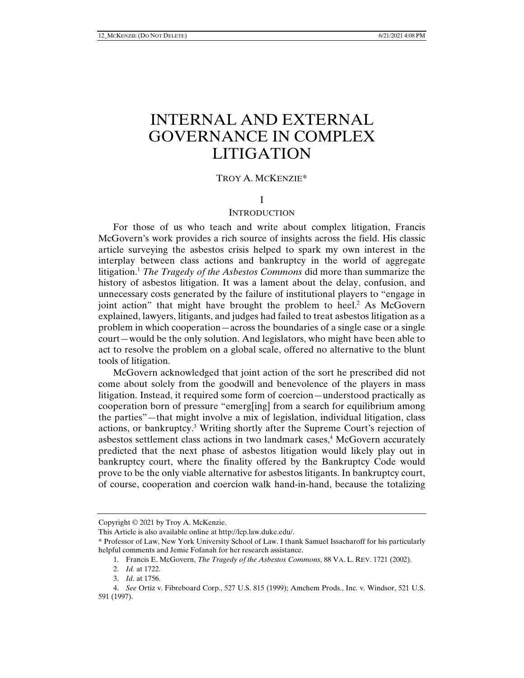# INTERNAL AND EXTERNAL GOVERNANCE IN COMPLEX LITIGATION

# TROY A. MCKENZIE\*

## I

#### **INTRODUCTION**

For those of us who teach and write about complex litigation, Francis McGovern's work provides a rich source of insights across the field. His classic article surveying the asbestos crisis helped to spark my own interest in the interplay between class actions and bankruptcy in the world of aggregate litigation.1 *The Tragedy of the Asbestos Commons* did more than summarize the history of asbestos litigation. It was a lament about the delay, confusion, and unnecessary costs generated by the failure of institutional players to "engage in joint action" that might have brought the problem to heel.<sup>2</sup> As McGovern explained, lawyers, litigants, and judges had failed to treat asbestos litigation as a problem in which cooperation—across the boundaries of a single case or a single court—would be the only solution. And legislators, who might have been able to act to resolve the problem on a global scale, offered no alternative to the blunt tools of litigation.

McGovern acknowledged that joint action of the sort he prescribed did not come about solely from the goodwill and benevolence of the players in mass litigation. Instead, it required some form of coercion—understood practically as cooperation born of pressure "emerg[ing] from a search for equilibrium among the parties"—that might involve a mix of legislation, individual litigation, class actions, or bankruptcy.3 Writing shortly after the Supreme Court's rejection of asbestos settlement class actions in two landmark cases,<sup>4</sup> McGovern accurately predicted that the next phase of asbestos litigation would likely play out in bankruptcy court, where the finality offered by the Bankruptcy Code would prove to be the only viable alternative for asbestos litigants. In bankruptcy court, of course, cooperation and coercion walk hand-in-hand, because the totalizing

Copyright © 2021 by Troy A. McKenzie.

This Article is also available online at http://lcp.law.duke.edu/.

<sup>\*</sup> Professor of Law, New York University School of Law. I thank Samuel Issacharoff for his particularly helpful comments and Jemie Fofanah for her research assistance.

 <sup>1.</sup> Francis E. McGovern, *The Tragedy of the Asbestos Commons*, 88 VA. L. REV. 1721 (2002).

 <sup>2.</sup> *Id.* at 1722.

 <sup>3.</sup> *Id*. at 1756.

 <sup>4.</sup> *See* Ortiz v. Fibreboard Corp., 527 U.S. 815 (1999); Amchem Prods., Inc. v. Windsor, 521 U.S. 591 (1997).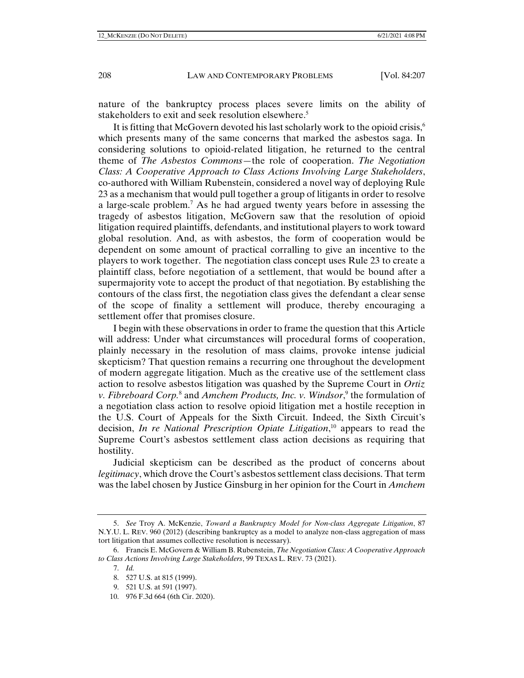nature of the bankruptcy process places severe limits on the ability of stakeholders to exit and seek resolution elsewhere.<sup>5</sup>

It is fitting that McGovern devoted his last scholarly work to the opioid crisis,<sup>6</sup> which presents many of the same concerns that marked the asbestos saga. In considering solutions to opioid-related litigation, he returned to the central theme of *The Asbestos Commons*—the role of cooperation. *The Negotiation Class: A Cooperative Approach to Class Actions Involving Large Stakeholders*, co-authored with William Rubenstein, considered a novel way of deploying Rule 23 as a mechanism that would pull together a group of litigants in order to resolve a large-scale problem.7 As he had argued twenty years before in assessing the tragedy of asbestos litigation, McGovern saw that the resolution of opioid litigation required plaintiffs, defendants, and institutional players to work toward global resolution. And, as with asbestos, the form of cooperation would be dependent on some amount of practical corralling to give an incentive to the players to work together. The negotiation class concept uses Rule 23 to create a plaintiff class, before negotiation of a settlement, that would be bound after a supermajority vote to accept the product of that negotiation. By establishing the contours of the class first, the negotiation class gives the defendant a clear sense of the scope of finality a settlement will produce, thereby encouraging a settlement offer that promises closure.

I begin with these observations in order to frame the question that this Article will address: Under what circumstances will procedural forms of cooperation, plainly necessary in the resolution of mass claims, provoke intense judicial skepticism? That question remains a recurring one throughout the development of modern aggregate litigation. Much as the creative use of the settlement class action to resolve asbestos litigation was quashed by the Supreme Court in *Ortiz v. Fibreboard Corp.*<sup>8</sup> and *Amchem Products, Inc. v. Windsor*, 9 the formulation of a negotiation class action to resolve opioid litigation met a hostile reception in the U.S. Court of Appeals for the Sixth Circuit. Indeed, the Sixth Circuit's decision, *In re National Prescription Opiate Litigation*, 10 appears to read the Supreme Court's asbestos settlement class action decisions as requiring that hostility.

Judicial skepticism can be described as the product of concerns about *legitimacy*, which drove the Court's asbestos settlement class decisions. That term was the label chosen by Justice Ginsburg in her opinion for the Court in *Amchem*

10. 976 F.3d 664 (6th Cir. 2020).

 <sup>5.</sup> *See* Troy A. McKenzie, *Toward a Bankruptcy Model for Non-class Aggregate Litigation*, 87 N.Y.U. L. REV. 960 (2012) (describing bankruptcy as a model to analyze non-class aggregation of mass tort litigation that assumes collective resolution is necessary).

 <sup>6.</sup> Francis E. McGovern & William B. Rubenstein, *The Negotiation Class: A Cooperative Approach to Class Actions Involving Large Stakeholders*, 99 TEXAS L. REV. 73 (2021).

 <sup>7.</sup> *Id.* 

 <sup>8. 527</sup> U.S. at 815 (1999).

 <sup>9. 521</sup> U.S. at 591 (1997).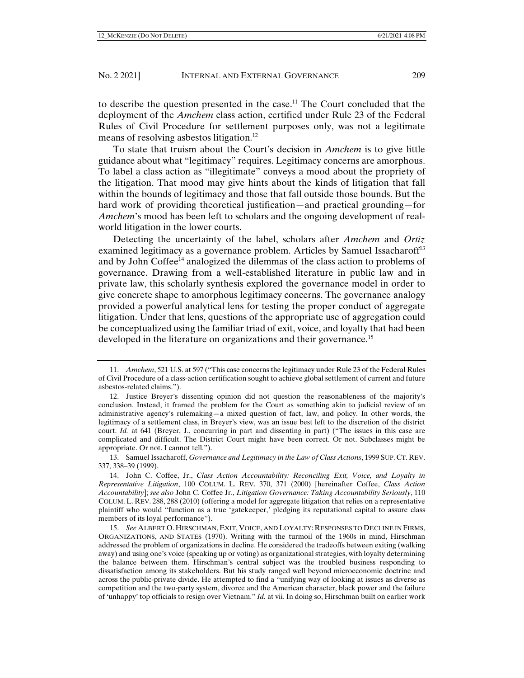to describe the question presented in the case.<sup>11</sup> The Court concluded that the deployment of the *Amchem* class action, certified under Rule 23 of the Federal Rules of Civil Procedure for settlement purposes only, was not a legitimate means of resolving asbestos litigation.<sup>12</sup>

To state that truism about the Court's decision in *Amchem* is to give little guidance about what "legitimacy" requires. Legitimacy concerns are amorphous. To label a class action as "illegitimate" conveys a mood about the propriety of the litigation. That mood may give hints about the kinds of litigation that fall within the bounds of legitimacy and those that fall outside those bounds. But the hard work of providing theoretical justification—and practical grounding—for *Amchem*'s mood has been left to scholars and the ongoing development of realworld litigation in the lower courts.

Detecting the uncertainty of the label, scholars after *Amchem* and *Ortiz* examined legitimacy as a governance problem. Articles by Samuel Issacharoff<sup>13</sup> and by John Coffee14 analogized the dilemmas of the class action to problems of governance. Drawing from a well-established literature in public law and in private law, this scholarly synthesis explored the governance model in order to give concrete shape to amorphous legitimacy concerns. The governance analogy provided a powerful analytical lens for testing the proper conduct of aggregate litigation. Under that lens, questions of the appropriate use of aggregation could be conceptualized using the familiar triad of exit, voice, and loyalty that had been developed in the literature on organizations and their governance.<sup>15</sup>

 <sup>11.</sup> *Amchem*, 521 U.S. at 597 ("This case concerns the legitimacy under Rule 23 of the Federal Rules of Civil Procedure of a class-action certification sought to achieve global settlement of current and future asbestos-related claims.").

 <sup>12.</sup> Justice Breyer's dissenting opinion did not question the reasonableness of the majority's conclusion. Instead, it framed the problem for the Court as something akin to judicial review of an administrative agency's rulemaking—a mixed question of fact, law, and policy. In other words, the legitimacy of a settlement class, in Breyer's view, was an issue best left to the discretion of the district court. *Id.* at 641 (Breyer, J., concurring in part and dissenting in part) ("The issues in this case are complicated and difficult. The District Court might have been correct. Or not. Subclasses might be appropriate. Or not. I cannot tell.").

 <sup>13.</sup> Samuel Issacharoff, *Governance and Legitimacy in the Law of Class Actions*, 1999 SUP. CT. REV. 337, 338–39 (1999).

 <sup>14.</sup> John C. Coffee, Jr., *Class Action Accountability: Reconciling Exit, Voice, and Loyalty in Representative Litigation*, 100 COLUM. L. REV. 370, 371 (2000) [hereinafter Coffee, *Class Action Accountability*]; *see also* John C. Coffee Jr., *Litigation Governance: Taking Accountability Seriously*, 110 COLUM. L. REV. 288, 288 (2010) (offering a model for aggregate litigation that relies on a representative plaintiff who would "function as a true 'gatekeeper,' pledging its reputational capital to assure class members of its loyal performance").

 <sup>15.</sup> *See* ALBERT O. HIRSCHMAN, EXIT, VOICE, AND LOYALTY: RESPONSES TO DECLINE IN FIRMS, ORGANIZATIONS, AND STATES (1970). Writing with the turmoil of the 1960s in mind, Hirschman addressed the problem of organizations in decline. He considered the tradeoffs between exiting (walking away) and using one's voice (speaking up or voting) as organizational strategies, with loyalty determining the balance between them. Hirschman's central subject was the troubled business responding to dissatisfaction among its stakeholders. But his study ranged well beyond microeconomic doctrine and across the public-private divide. He attempted to find a "unifying way of looking at issues as diverse as competition and the two-party system, divorce and the American character, black power and the failure of 'unhappy' top officials to resign over Vietnam." *Id.* at vii. In doing so, Hirschman built on earlier work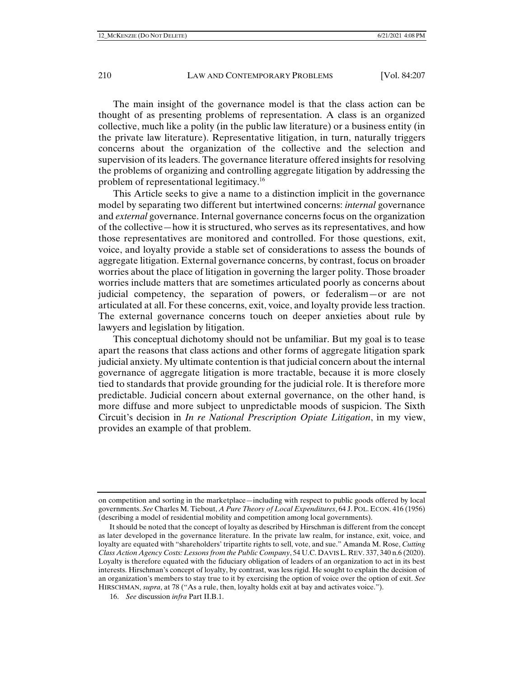The main insight of the governance model is that the class action can be thought of as presenting problems of representation. A class is an organized collective, much like a polity (in the public law literature) or a business entity (in the private law literature). Representative litigation, in turn, naturally triggers concerns about the organization of the collective and the selection and supervision of its leaders. The governance literature offered insights for resolving the problems of organizing and controlling aggregate litigation by addressing the problem of representational legitimacy.16

This Article seeks to give a name to a distinction implicit in the governance model by separating two different but intertwined concerns: *internal* governance and *external* governance. Internal governance concerns focus on the organization of the collective—how it is structured, who serves as its representatives, and how those representatives are monitored and controlled. For those questions, exit, voice, and loyalty provide a stable set of considerations to assess the bounds of aggregate litigation. External governance concerns, by contrast, focus on broader worries about the place of litigation in governing the larger polity. Those broader worries include matters that are sometimes articulated poorly as concerns about judicial competency, the separation of powers, or federalism—or are not articulated at all. For these concerns, exit, voice, and loyalty provide less traction. The external governance concerns touch on deeper anxieties about rule by lawyers and legislation by litigation.

This conceptual dichotomy should not be unfamiliar. But my goal is to tease apart the reasons that class actions and other forms of aggregate litigation spark judicial anxiety. My ultimate contention is that judicial concern about the internal governance of aggregate litigation is more tractable, because it is more closely tied to standards that provide grounding for the judicial role. It is therefore more predictable. Judicial concern about external governance, on the other hand, is more diffuse and more subject to unpredictable moods of suspicion. The Sixth Circuit's decision in *In re National Prescription Opiate Litigation*, in my view, provides an example of that problem.

on competition and sorting in the marketplace—including with respect to public goods offered by local governments. *See* Charles M. Tiebout, *A Pure Theory of Local Expenditures*, 64 J. POL. ECON. 416 (1956) (describing a model of residential mobility and competition among local governments).

It should be noted that the concept of loyalty as described by Hirschman is different from the concept as later developed in the governance literature. In the private law realm, for instance, exit, voice, and loyalty are equated with "shareholders' tripartite rights to sell, vote, and sue." Amanda M. Rose, *Cutting Class Action Agency Costs: Lessons from the Public Company*, 54 U.C. DAVIS L.REV. 337, 340 n.6 (2020). Loyalty is therefore equated with the fiduciary obligation of leaders of an organization to act in its best interests. Hirschman's concept of loyalty, by contrast, was less rigid. He sought to explain the decision of an organization's members to stay true to it by exercising the option of voice over the option of exit. *See*  HIRSCHMAN, *supra*, at 78 ("As a rule, then, loyalty holds exit at bay and activates voice.").

 <sup>16.</sup> *See* discussion *infra* Part II.B.1.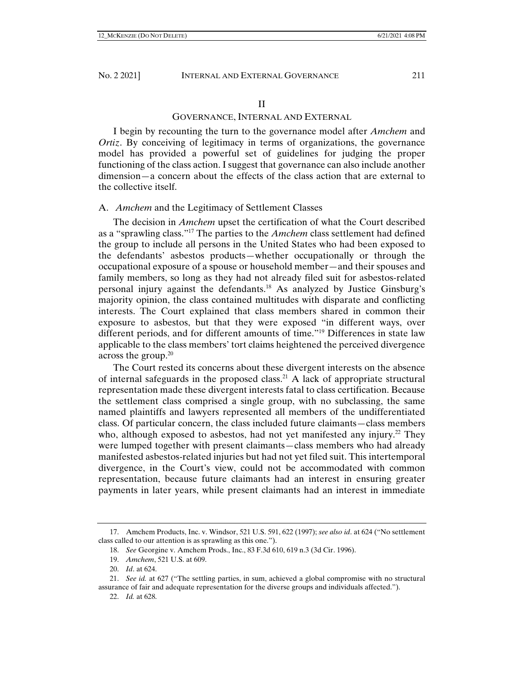## II

# GOVERNANCE, INTERNAL AND EXTERNAL

I begin by recounting the turn to the governance model after *Amchem* and *Ortiz*. By conceiving of legitimacy in terms of organizations, the governance model has provided a powerful set of guidelines for judging the proper functioning of the class action. I suggest that governance can also include another dimension—a concern about the effects of the class action that are external to the collective itself.

## A. *Amchem* and the Legitimacy of Settlement Classes

The decision in *Amchem* upset the certification of what the Court described as a "sprawling class."17 The parties to the *Amchem* class settlement had defined the group to include all persons in the United States who had been exposed to the defendants' asbestos products—whether occupationally or through the occupational exposure of a spouse or household member—and their spouses and family members, so long as they had not already filed suit for asbestos-related personal injury against the defendants.18 As analyzed by Justice Ginsburg's majority opinion, the class contained multitudes with disparate and conflicting interests. The Court explained that class members shared in common their exposure to asbestos, but that they were exposed "in different ways, over different periods, and for different amounts of time."19 Differences in state law applicable to the class members' tort claims heightened the perceived divergence across the group. $20$ 

The Court rested its concerns about these divergent interests on the absence of internal safeguards in the proposed class.<sup>21</sup> A lack of appropriate structural representation made these divergent interests fatal to class certification. Because the settlement class comprised a single group, with no subclassing, the same named plaintiffs and lawyers represented all members of the undifferentiated class. Of particular concern, the class included future claimants—class members who, although exposed to asbestos, had not yet manifested any injury.<sup>22</sup> They were lumped together with present claimants—class members who had already manifested asbestos-related injuries but had not yet filed suit. This intertemporal divergence, in the Court's view, could not be accommodated with common representation, because future claimants had an interest in ensuring greater payments in later years, while present claimants had an interest in immediate

 <sup>17.</sup> Amchem Products, Inc. v. Windsor, 521 U.S. 591, 622 (1997); *see also id*. at 624 ("No settlement class called to our attention is as sprawling as this one.").

 <sup>18.</sup> *See* Georgine v. Amchem Prods., Inc., 83 F.3d 610, 619 n.3 (3d Cir. 1996).

 <sup>19.</sup> *Amchem*, 521 U.S. at 609.

 <sup>20.</sup> *Id*. at 624.

 <sup>21.</sup> *See id.* at 627 ("The settling parties, in sum, achieved a global compromise with no structural assurance of fair and adequate representation for the diverse groups and individuals affected.").

 <sup>22.</sup> *Id.* at 628.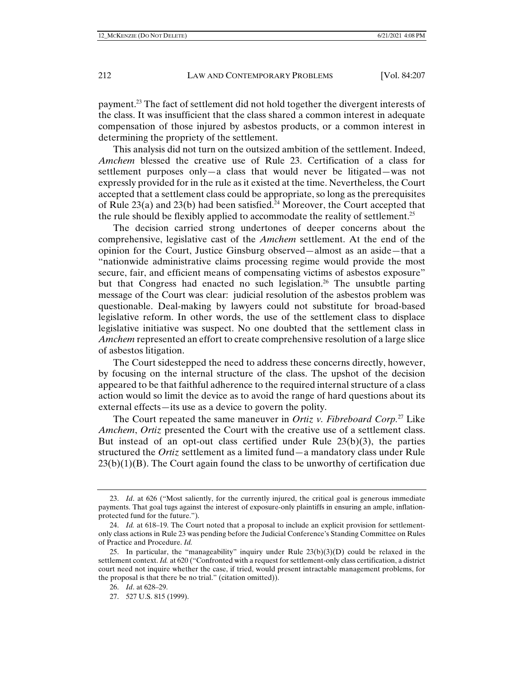payment.<sup>23</sup> The fact of settlement did not hold together the divergent interests of the class. It was insufficient that the class shared a common interest in adequate compensation of those injured by asbestos products, or a common interest in determining the propriety of the settlement.

This analysis did not turn on the outsized ambition of the settlement. Indeed, *Amchem* blessed the creative use of Rule 23. Certification of a class for settlement purposes only—a class that would never be litigated—was not expressly provided for in the rule as it existed at the time. Nevertheless, the Court accepted that a settlement class could be appropriate, so long as the prerequisites of Rule 23(a) and 23(b) had been satisfied.<sup>24</sup> Moreover, the Court accepted that the rule should be flexibly applied to accommodate the reality of settlement.<sup>25</sup>

The decision carried strong undertones of deeper concerns about the comprehensive, legislative cast of the *Amchem* settlement. At the end of the opinion for the Court, Justice Ginsburg observed—almost as an aside—that a "nationwide administrative claims processing regime would provide the most secure, fair, and efficient means of compensating victims of asbestos exposure" but that Congress had enacted no such legislation.<sup>26</sup> The unsubtle parting message of the Court was clear: judicial resolution of the asbestos problem was questionable. Deal-making by lawyers could not substitute for broad-based legislative reform. In other words, the use of the settlement class to displace legislative initiative was suspect. No one doubted that the settlement class in *Amchem* represented an effort to create comprehensive resolution of a large slice of asbestos litigation.

The Court sidestepped the need to address these concerns directly, however, by focusing on the internal structure of the class. The upshot of the decision appeared to be that faithful adherence to the required internal structure of a class action would so limit the device as to avoid the range of hard questions about its external effects—its use as a device to govern the polity.

The Court repeated the same maneuver in *Ortiz v. Fibreboard Corp.*27 Like *Amchem*, *Ortiz* presented the Court with the creative use of a settlement class. But instead of an opt-out class certified under Rule  $23(b)(3)$ , the parties structured the *Ortiz* settlement as a limited fund—a mandatory class under Rule  $23(b)(1)(B)$ . The Court again found the class to be unworthy of certification due

 <sup>23.</sup> *Id*. at 626 ("Most saliently, for the currently injured, the critical goal is generous immediate payments. That goal tugs against the interest of exposure-only plaintiffs in ensuring an ample, inflationprotected fund for the future.").

 <sup>24.</sup> *Id.* at 618–19. The Court noted that a proposal to include an explicit provision for settlementonly class actions in Rule 23 was pending before the Judicial Conference's Standing Committee on Rules of Practice and Procedure. *Id.*

 <sup>25.</sup> In particular, the "manageability" inquiry under Rule 23(b)(3)(D) could be relaxed in the settlement context. *Id.* at 620 ("Confronted with a request for settlement-only class certification, a district court need not inquire whether the case, if tried, would present intractable management problems, for the proposal is that there be no trial." (citation omitted)).

 <sup>26.</sup> *Id*. at 628–29.

 <sup>27. 527</sup> U.S. 815 (1999).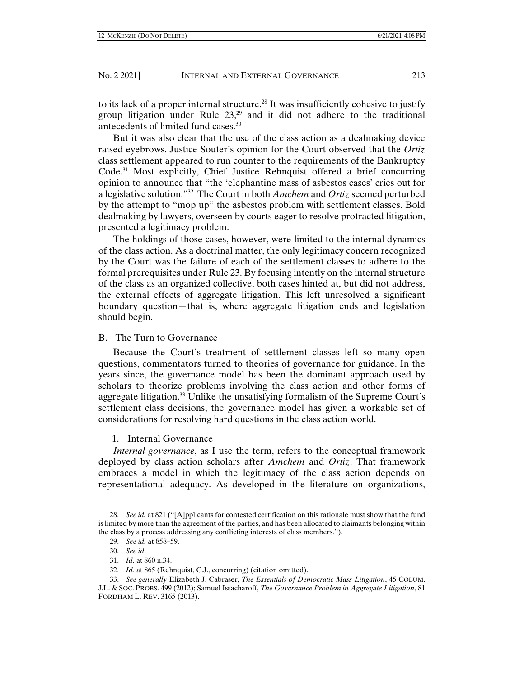to its lack of a proper internal structure.<sup>28</sup> It was insufficiently cohesive to justify group litigation under Rule  $23<sub>1</sub><sup>29</sup>$  and it did not adhere to the traditional antecedents of limited fund cases.30

But it was also clear that the use of the class action as a dealmaking device raised eyebrows. Justice Souter's opinion for the Court observed that the *Ortiz* class settlement appeared to run counter to the requirements of the Bankruptcy Code.31 Most explicitly, Chief Justice Rehnquist offered a brief concurring opinion to announce that "the 'elephantine mass of asbestos cases' cries out for a legislative solution."32 The Court in both *Amchem* and *Ortiz* seemed perturbed by the attempt to "mop up" the asbestos problem with settlement classes. Bold dealmaking by lawyers, overseen by courts eager to resolve protracted litigation, presented a legitimacy problem.

The holdings of those cases, however, were limited to the internal dynamics of the class action. As a doctrinal matter, the only legitimacy concern recognized by the Court was the failure of each of the settlement classes to adhere to the formal prerequisites under Rule 23. By focusing intently on the internal structure of the class as an organized collective, both cases hinted at, but did not address, the external effects of aggregate litigation. This left unresolved a significant boundary question—that is, where aggregate litigation ends and legislation should begin.

## B. The Turn to Governance

Because the Court's treatment of settlement classes left so many open questions, commentators turned to theories of governance for guidance. In the years since, the governance model has been the dominant approach used by scholars to theorize problems involving the class action and other forms of aggregate litigation.<sup>33</sup> Unlike the unsatisfying formalism of the Supreme Court's settlement class decisions, the governance model has given a workable set of considerations for resolving hard questions in the class action world.

#### 1. Internal Governance

*Internal governance*, as I use the term, refers to the conceptual framework deployed by class action scholars after *Amchem* and *Ortiz*. That framework embraces a model in which the legitimacy of the class action depends on representational adequacy. As developed in the literature on organizations,

 <sup>28.</sup> *See id.* at 821 ("[A]pplicants for contested certification on this rationale must show that the fund is limited by more than the agreement of the parties, and has been allocated to claimants belonging within the class by a process addressing any conflicting interests of class members.").

 <sup>29.</sup> *See id.* at 858–59.

 <sup>30.</sup> *See id*.

 <sup>31.</sup> *Id*. at 860 n.34.

 <sup>32.</sup> *Id.* at 865 (Rehnquist, C.J., concurring) (citation omitted).

 <sup>33.</sup> *See generally* Elizabeth J. Cabraser, *The Essentials of Democratic Mass Litigation*, 45 COLUM. J.L. & SOC. PROBS. 499 (2012); Samuel Issacharoff, *The Governance Problem in Aggregate Litigation*, 81 FORDHAM L. REV. 3165 (2013).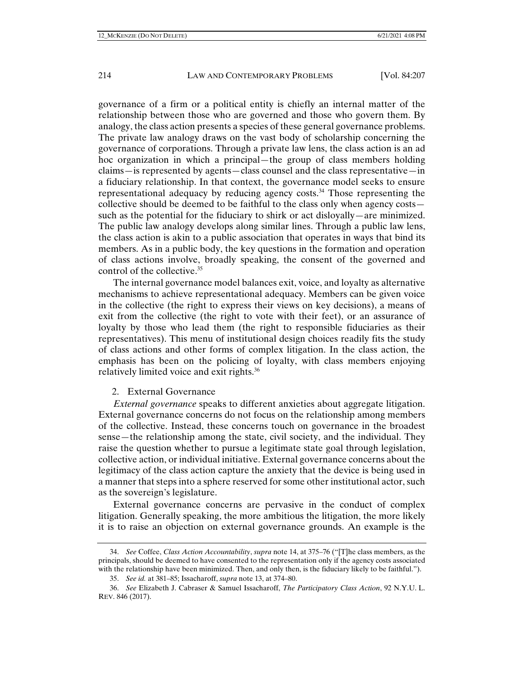governance of a firm or a political entity is chiefly an internal matter of the relationship between those who are governed and those who govern them. By analogy, the class action presents a species of these general governance problems. The private law analogy draws on the vast body of scholarship concerning the governance of corporations. Through a private law lens, the class action is an ad hoc organization in which a principal—the group of class members holding claims—is represented by agents—class counsel and the class representative—in a fiduciary relationship. In that context, the governance model seeks to ensure representational adequacy by reducing agency costs.34 Those representing the collective should be deemed to be faithful to the class only when agency costs such as the potential for the fiduciary to shirk or act disloyally—are minimized. The public law analogy develops along similar lines. Through a public law lens, the class action is akin to a public association that operates in ways that bind its members. As in a public body, the key questions in the formation and operation of class actions involve, broadly speaking, the consent of the governed and control of the collective.35

The internal governance model balances exit, voice, and loyalty as alternative mechanisms to achieve representational adequacy. Members can be given voice in the collective (the right to express their views on key decisions), a means of exit from the collective (the right to vote with their feet), or an assurance of loyalty by those who lead them (the right to responsible fiduciaries as their representatives). This menu of institutional design choices readily fits the study of class actions and other forms of complex litigation. In the class action, the emphasis has been on the policing of loyalty, with class members enjoying relatively limited voice and exit rights.36

## 2. External Governance

*External governance* speaks to different anxieties about aggregate litigation. External governance concerns do not focus on the relationship among members of the collective. Instead, these concerns touch on governance in the broadest sense—the relationship among the state, civil society, and the individual. They raise the question whether to pursue a legitimate state goal through legislation, collective action, or individual initiative. External governance concerns about the legitimacy of the class action capture the anxiety that the device is being used in a manner that steps into a sphere reserved for some other institutional actor, such as the sovereign's legislature.

External governance concerns are pervasive in the conduct of complex litigation. Generally speaking, the more ambitious the litigation, the more likely it is to raise an objection on external governance grounds. An example is the

 <sup>34.</sup> *See* Coffee, *Class Action Accountability*, *supra* note 14, at 375–76 ("[T]he class members, as the principals, should be deemed to have consented to the representation only if the agency costs associated with the relationship have been minimized. Then, and only then, is the fiduciary likely to be faithful.").

 <sup>35.</sup> *See id.* at 381–85; Issacharoff, *supra* note 13, at 374–80.

 <sup>36.</sup> *See* Elizabeth J. Cabraser & Samuel Issacharoff, *The Participatory Class Action*, 92 N.Y.U. L. REV. 846 (2017).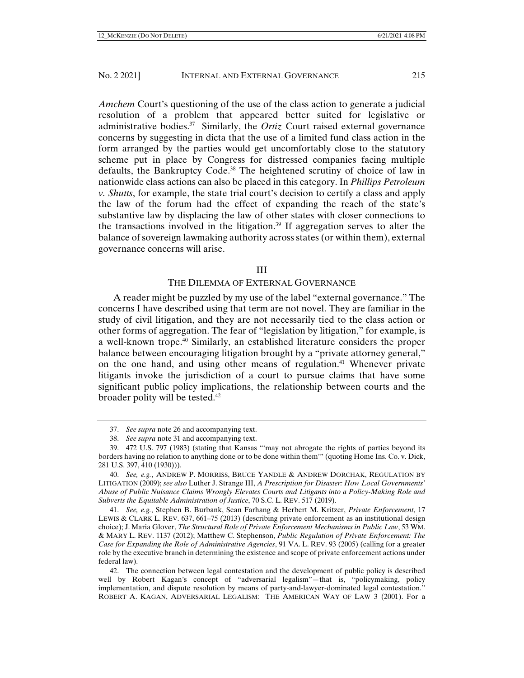*Amchem* Court's questioning of the use of the class action to generate a judicial resolution of a problem that appeared better suited for legislative or administrative bodies.37 Similarly, the *Ortiz* Court raised external governance concerns by suggesting in dicta that the use of a limited fund class action in the form arranged by the parties would get uncomfortably close to the statutory scheme put in place by Congress for distressed companies facing multiple defaults, the Bankruptcy Code.<sup>38</sup> The heightened scrutiny of choice of law in nationwide class actions can also be placed in this category. In *Phillips Petroleum v. Shutts*, for example, the state trial court's decision to certify a class and apply the law of the forum had the effect of expanding the reach of the state's substantive law by displacing the law of other states with closer connections to the transactions involved in the litigation. $39$  If aggregation serves to alter the balance of sovereign lawmaking authority across states (or within them), external governance concerns will arise.

#### III

#### THE DILEMMA OF EXTERNAL GOVERNANCE

A reader might be puzzled by my use of the label "external governance." The concerns I have described using that term are not novel. They are familiar in the study of civil litigation, and they are not necessarily tied to the class action or other forms of aggregation. The fear of "legislation by litigation," for example, is a well-known trope.40 Similarly, an established literature considers the proper balance between encouraging litigation brought by a "private attorney general," on the one hand, and using other means of regulation.<sup>41</sup> Whenever private litigants invoke the jurisdiction of a court to pursue claims that have some significant public policy implications, the relationship between courts and the broader polity will be tested.<sup>42</sup>

 <sup>37.</sup> *See supra* note 26 and accompanying text.

 <sup>38.</sup> *See supra* note 31 and accompanying text.

 <sup>39. 472</sup> U.S. 797 (1983) (stating that Kansas "'may not abrogate the rights of parties beyond its borders having no relation to anything done or to be done within them'" (quoting Home Ins. Co. v. Dick, 281 U.S. 397, 410 (1930))).

 <sup>40.</sup> *See, e.g.*, ANDREW P. MORRISS, BRUCE YANDLE & ANDREW DORCHAK, REGULATION BY LITIGATION (2009); *see also* Luther J. Strange III, *A Prescription for Disaster: How Local Governments' Abuse of Public Nuisance Claims Wrongly Elevates Courts and Litigants into a Policy-Making Role and Subverts the Equitable Administration of Justice*, 70 S.C. L. REV. 517 (2019).

 <sup>41.</sup> *See, e.g.*, Stephen B. Burbank, Sean Farhang & Herbert M. Kritzer, *Private Enforcement*, 17 LEWIS & CLARK L. REV. 637, 661–75 (2013) (describing private enforcement as an institutional design choice); J. Maria Glover, *The Structural Role of Private Enforcement Mechanisms in Public Law*, 53 WM. & MARY L. REV. 1137 (2012); Matthew C. Stephenson, *Public Regulation of Private Enforcement: The Case for Expanding the Role of Administrative Agencies*, 91 VA. L. REV. 93 (2005) (calling for a greater role by the executive branch in determining the existence and scope of private enforcement actions under federal law).

 <sup>42.</sup> The connection between legal contestation and the development of public policy is described well by Robert Kagan's concept of "adversarial legalism"—that is, "policymaking, policy implementation, and dispute resolution by means of party-and-lawyer-dominated legal contestation." ROBERT A. KAGAN, ADVERSARIAL LEGALISM: THE AMERICAN WAY OF LAW 3 (2001). For a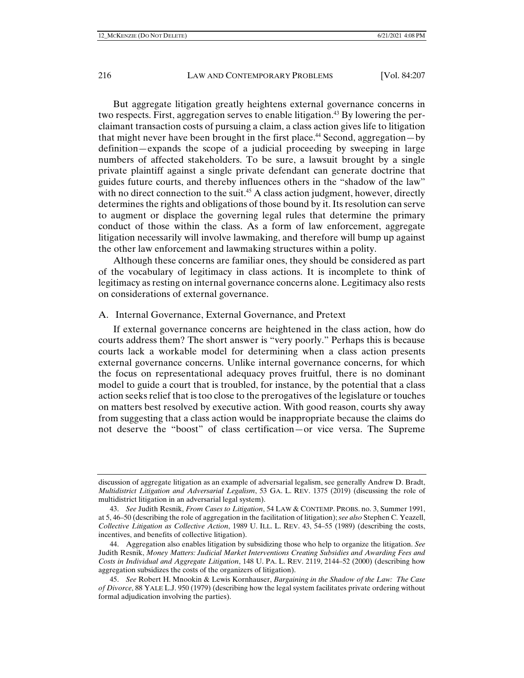But aggregate litigation greatly heightens external governance concerns in two respects. First, aggregation serves to enable litigation.<sup>43</sup> By lowering the perclaimant transaction costs of pursuing a claim, a class action gives life to litigation that might never have been brought in the first place.<sup>44</sup> Second, aggregation—by definition—expands the scope of a judicial proceeding by sweeping in large numbers of affected stakeholders. To be sure, a lawsuit brought by a single private plaintiff against a single private defendant can generate doctrine that guides future courts, and thereby influences others in the "shadow of the law" with no direct connection to the suit.<sup>45</sup> A class action judgment, however, directly determines the rights and obligations of those bound by it. Its resolution can serve to augment or displace the governing legal rules that determine the primary conduct of those within the class. As a form of law enforcement, aggregate litigation necessarily will involve lawmaking, and therefore will bump up against the other law enforcement and lawmaking structures within a polity.

Although these concerns are familiar ones, they should be considered as part of the vocabulary of legitimacy in class actions. It is incomplete to think of legitimacy as resting on internal governance concerns alone. Legitimacy also rests on considerations of external governance.

#### A. Internal Governance, External Governance, and Pretext

If external governance concerns are heightened in the class action, how do courts address them? The short answer is "very poorly." Perhaps this is because courts lack a workable model for determining when a class action presents external governance concerns. Unlike internal governance concerns, for which the focus on representational adequacy proves fruitful, there is no dominant model to guide a court that is troubled, for instance, by the potential that a class action seeks relief that is too close to the prerogatives of the legislature or touches on matters best resolved by executive action. With good reason, courts shy away from suggesting that a class action would be inappropriate because the claims do not deserve the "boost" of class certification—or vice versa. The Supreme

discussion of aggregate litigation as an example of adversarial legalism, see generally Andrew D. Bradt, *Multidistrict Litigation and Adversarial Legalism*, 53 GA. L. REV. 1375 (2019) (discussing the role of multidistrict litigation in an adversarial legal system).

 <sup>43.</sup> *See* Judith Resnik, *From Cases to Litigation*, 54 LAW & CONTEMP. PROBS. no. 3, Summer 1991, at 5, 46–50 (describing the role of aggregation in the facilitation of litigation); *see also* Stephen C. Yeazell, *Collective Litigation as Collective Action*, 1989 U. ILL. L. REV. 43, 54–55 (1989) (describing the costs, incentives, and benefits of collective litigation).

 <sup>44.</sup> Aggregation also enables litigation by subsidizing those who help to organize the litigation. *See* Judith Resnik, *Money Matters: Judicial Market Interventions Creating Subsidies and Awarding Fees and Costs in Individual and Aggregate Litigation*, 148 U. PA. L. REV. 2119, 2144–52 (2000) (describing how aggregation subsidizes the costs of the organizers of litigation).

 <sup>45.</sup> *See* Robert H. Mnookin & Lewis Kornhauser, *Bargaining in the Shadow of the Law: The Case of Divorce*, 88 YALE L.J. 950 (1979) (describing how the legal system facilitates private ordering without formal adjudication involving the parties).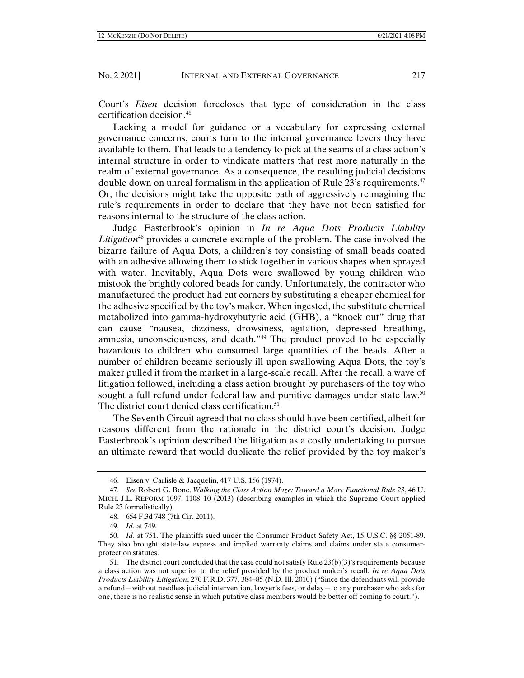Court's *Eisen* decision forecloses that type of consideration in the class certification decision.46

Lacking a model for guidance or a vocabulary for expressing external governance concerns, courts turn to the internal governance levers they have available to them. That leads to a tendency to pick at the seams of a class action's internal structure in order to vindicate matters that rest more naturally in the realm of external governance. As a consequence, the resulting judicial decisions double down on unreal formalism in the application of Rule 23's requirements.<sup>47</sup> Or, the decisions might take the opposite path of aggressively reimagining the rule's requirements in order to declare that they have not been satisfied for reasons internal to the structure of the class action.

Judge Easterbrook's opinion in *In re Aqua Dots Products Liability Litigation*48 provides a concrete example of the problem. The case involved the bizarre failure of Aqua Dots, a children's toy consisting of small beads coated with an adhesive allowing them to stick together in various shapes when sprayed with water. Inevitably, Aqua Dots were swallowed by young children who mistook the brightly colored beads for candy. Unfortunately, the contractor who manufactured the product had cut corners by substituting a cheaper chemical for the adhesive specified by the toy's maker. When ingested, the substitute chemical metabolized into gamma-hydroxybutyric acid (GHB), a "knock out" drug that can cause "nausea, dizziness, drowsiness, agitation, depressed breathing, amnesia, unconsciousness, and death."49 The product proved to be especially hazardous to children who consumed large quantities of the beads. After a number of children became seriously ill upon swallowing Aqua Dots, the toy's maker pulled it from the market in a large-scale recall. After the recall, a wave of litigation followed, including a class action brought by purchasers of the toy who sought a full refund under federal law and punitive damages under state law.<sup>50</sup> The district court denied class certification.<sup>51</sup>

The Seventh Circuit agreed that no class should have been certified, albeit for reasons different from the rationale in the district court's decision. Judge Easterbrook's opinion described the litigation as a costly undertaking to pursue an ultimate reward that would duplicate the relief provided by the toy maker's

 <sup>46.</sup> Eisen v. Carlisle & Jacquelin, 417 U.S. 156 (1974).

 <sup>47.</sup> *See* Robert G. Bone, *Walking the Class Action Maze: Toward a More Functional Rule 23*, 46 U. MICH. J.L. REFORM 1097, 1108–10 (2013) (describing examples in which the Supreme Court applied Rule 23 formalistically).

 <sup>48. 654</sup> F.3d 748 (7th Cir. 2011).

 <sup>49.</sup> *Id.* at 749.

 <sup>50.</sup> *Id.* at 751. The plaintiffs sued under the Consumer Product Safety Act, 15 U.S.C. §§ 2051-89. They also brought state-law express and implied warranty claims and claims under state consumerprotection statutes.

 <sup>51.</sup> The district court concluded that the case could not satisfy Rule 23(b)(3)'s requirements because a class action was not superior to the relief provided by the product maker's recall. *In re Aqua Dots Products Liability Litigation*, 270 F.R.D. 377, 384–85 (N.D. Ill. 2010) ("Since the defendants will provide a refund—without needless judicial intervention, lawyer's fees, or delay—to any purchaser who asks for one, there is no realistic sense in which putative class members would be better off coming to court.").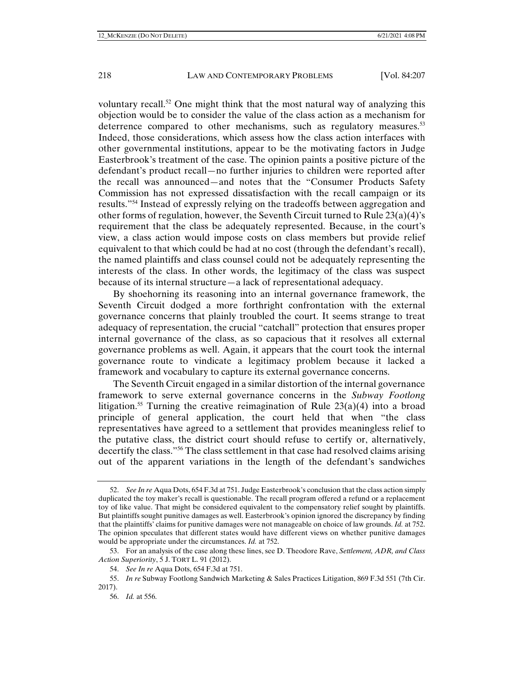voluntary recall.<sup>52</sup> One might think that the most natural way of analyzing this objection would be to consider the value of the class action as a mechanism for deterrence compared to other mechanisms, such as regulatory measures.<sup>53</sup> Indeed, those considerations, which assess how the class action interfaces with other governmental institutions, appear to be the motivating factors in Judge Easterbrook's treatment of the case. The opinion paints a positive picture of the defendant's product recall—no further injuries to children were reported after the recall was announced—and notes that the "Consumer Products Safety Commission has not expressed dissatisfaction with the recall campaign or its results."54 Instead of expressly relying on the tradeoffs between aggregation and other forms of regulation, however, the Seventh Circuit turned to Rule  $23(a)(4)$ 's requirement that the class be adequately represented. Because, in the court's view, a class action would impose costs on class members but provide relief equivalent to that which could be had at no cost (through the defendant's recall), the named plaintiffs and class counsel could not be adequately representing the interests of the class. In other words, the legitimacy of the class was suspect because of its internal structure—a lack of representational adequacy.

By shoehorning its reasoning into an internal governance framework, the Seventh Circuit dodged a more forthright confrontation with the external governance concerns that plainly troubled the court. It seems strange to treat adequacy of representation, the crucial "catchall" protection that ensures proper internal governance of the class, as so capacious that it resolves all external governance problems as well. Again, it appears that the court took the internal governance route to vindicate a legitimacy problem because it lacked a framework and vocabulary to capture its external governance concerns.

The Seventh Circuit engaged in a similar distortion of the internal governance framework to serve external governance concerns in the *Subway Footlong* litigation.<sup>55</sup> Turning the creative reimagination of Rule  $23(a)(4)$  into a broad principle of general application, the court held that when "the class representatives have agreed to a settlement that provides meaningless relief to the putative class, the district court should refuse to certify or, alternatively, decertify the class."56 The class settlement in that case had resolved claims arising out of the apparent variations in the length of the defendant's sandwiches

 <sup>52.</sup> *See In re* Aqua Dots, 654 F.3d at 751. Judge Easterbrook's conclusion that the class action simply duplicated the toy maker's recall is questionable. The recall program offered a refund or a replacement toy of like value. That might be considered equivalent to the compensatory relief sought by plaintiffs. But plaintiffs sought punitive damages as well. Easterbrook's opinion ignored the discrepancy by finding that the plaintiffs' claims for punitive damages were not manageable on choice of law grounds. *Id.* at 752. The opinion speculates that different states would have different views on whether punitive damages would be appropriate under the circumstances. *Id.* at 752.

 <sup>53.</sup> For an analysis of the case along these lines, see D. Theodore Rave, *Settlement, ADR, and Class Action Superiority*, 5 J. TORT L. 91 (2012).

 <sup>54.</sup> *See In re* Aqua Dots, 654 F.3d at 751.

 <sup>55.</sup> *In re* Subway Footlong Sandwich Marketing & Sales Practices Litigation, 869 F.3d 551 (7th Cir. 2017).

 <sup>56.</sup> *Id.* at 556.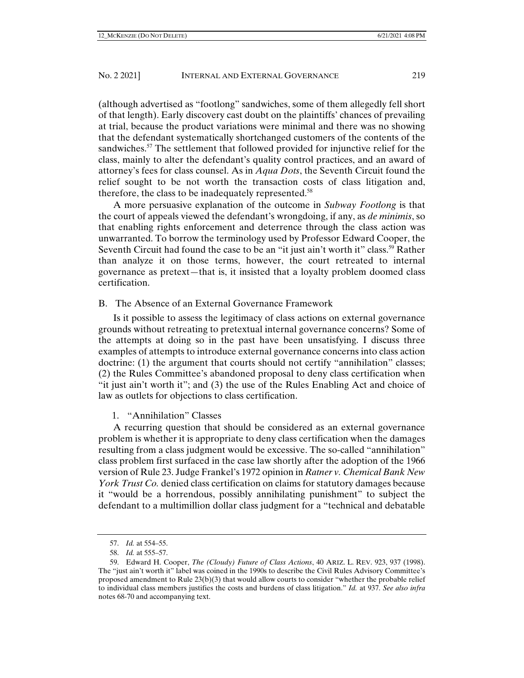(although advertised as "footlong" sandwiches, some of them allegedly fell short of that length). Early discovery cast doubt on the plaintiffs' chances of prevailing at trial, because the product variations were minimal and there was no showing that the defendant systematically shortchanged customers of the contents of the sandwiches.<sup>57</sup> The settlement that followed provided for injunctive relief for the class, mainly to alter the defendant's quality control practices, and an award of attorney's fees for class counsel. As in *Aqua Dots*, the Seventh Circuit found the relief sought to be not worth the transaction costs of class litigation and, therefore, the class to be inadequately represented.<sup>58</sup>

A more persuasive explanation of the outcome in *Subway Footlong* is that the court of appeals viewed the defendant's wrongdoing, if any, as *de minimis*, so that enabling rights enforcement and deterrence through the class action was unwarranted. To borrow the terminology used by Professor Edward Cooper, the Seventh Circuit had found the case to be an "it just ain't worth it" class.<sup>59</sup> Rather than analyze it on those terms, however, the court retreated to internal governance as pretext—that is, it insisted that a loyalty problem doomed class certification.

## B. The Absence of an External Governance Framework

Is it possible to assess the legitimacy of class actions on external governance grounds without retreating to pretextual internal governance concerns? Some of the attempts at doing so in the past have been unsatisfying. I discuss three examples of attempts to introduce external governance concerns into class action doctrine: (1) the argument that courts should not certify "annihilation" classes; (2) the Rules Committee's abandoned proposal to deny class certification when "it just ain't worth it"; and (3) the use of the Rules Enabling Act and choice of law as outlets for objections to class certification.

## 1. "Annihilation" Classes

A recurring question that should be considered as an external governance problem is whether it is appropriate to deny class certification when the damages resulting from a class judgment would be excessive. The so-called "annihilation" class problem first surfaced in the case law shortly after the adoption of the 1966 version of Rule 23. Judge Frankel's 1972 opinion in *Ratner v. Chemical Bank New York Trust Co.* denied class certification on claims for statutory damages because it "would be a horrendous, possibly annihilating punishment" to subject the defendant to a multimillion dollar class judgment for a "technical and debatable

 <sup>57.</sup> *Id.* at 554–55.

 <sup>58.</sup> *Id.* at 555–57.

 <sup>59.</sup> Edward H. Cooper, *The (Cloudy) Future of Class Actions*, 40 ARIZ. L. REV. 923, 937 (1998). The "just ain't worth it" label was coined in the 1990s to describe the Civil Rules Advisory Committee's proposed amendment to Rule 23(b)(3) that would allow courts to consider "whether the probable relief to individual class members justifies the costs and burdens of class litigation." *Id.* at 937. *See also infra* notes 68-70 and accompanying text.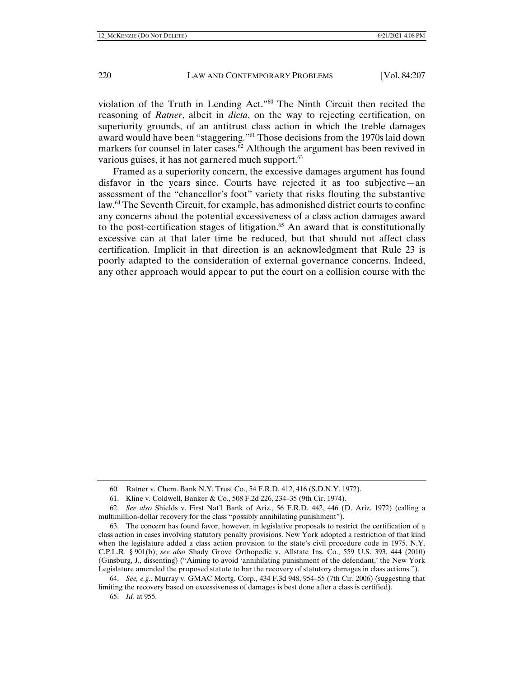violation of the Truth in Lending Act."60 The Ninth Circuit then recited the reasoning of *Ratner*, albeit in *dicta*, on the way to rejecting certification, on superiority grounds, of an antitrust class action in which the treble damages award would have been "staggering."61 Those decisions from the 1970s laid down markers for counsel in later cases.<sup>62</sup> Although the argument has been revived in various guises, it has not garnered much support.<sup>63</sup>

Framed as a superiority concern, the excessive damages argument has found disfavor in the years since. Courts have rejected it as too subjective—an assessment of the "chancellor's foot" variety that risks flouting the substantive law.64 The Seventh Circuit, for example, has admonished district courts to confine any concerns about the potential excessiveness of a class action damages award to the post-certification stages of litigation.<sup>65</sup> An award that is constitutionally excessive can at that later time be reduced, but that should not affect class certification. Implicit in that direction is an acknowledgment that Rule 23 is poorly adapted to the consideration of external governance concerns. Indeed, any other approach would appear to put the court on a collision course with the

 <sup>60.</sup> Ratner v. Chem. Bank N.Y. Trust Co., 54 F.R.D. 412, 416 (S.D.N.Y. 1972).

 <sup>61.</sup> Kline v. Coldwell, Banker & Co., 508 F.2d 226, 234–35 (9th Cir. 1974).

 <sup>62.</sup> *See also* Shields v. First Nat'l Bank of Ariz., 56 F.R.D. 442, 446 (D. Ariz. 1972) (calling a multimillion-dollar recovery for the class "possibly annihilating punishment").

 <sup>63.</sup> The concern has found favor, however, in legislative proposals to restrict the certification of a class action in cases involving statutory penalty provisions. New York adopted a restriction of that kind when the legislature added a class action provision to the state's civil procedure code in 1975. N.Y. C.P.L.R. § 901(b); *see also* Shady Grove Orthopedic v. Allstate Ins. Co., 559 U.S. 393, 444 (2010) (Ginsburg, J., dissenting) ("Aiming to avoid 'annihilating punishment of the defendant,' the New York Legislature amended the proposed statute to bar the recovery of statutory damages in class actions.").

 <sup>64.</sup> *See, e.g.*, Murray v. GMAC Mortg. Corp., 434 F.3d 948, 954–55 (7th Cir. 2006) (suggesting that limiting the recovery based on excessiveness of damages is best done after a class is certified).

 <sup>65.</sup> *Id.* at 955.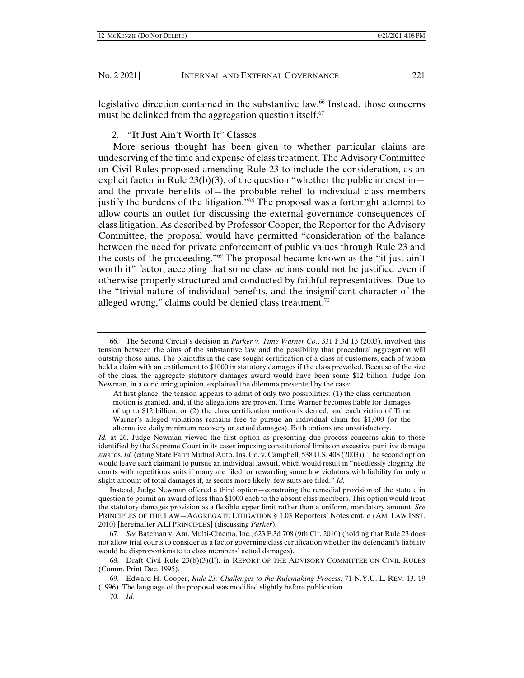legislative direction contained in the substantive law.<sup>66</sup> Instead, those concerns must be delinked from the aggregation question itself.<sup>67</sup>

2. "It Just Ain't Worth It" Classes

More serious thought has been given to whether particular claims are undeserving of the time and expense of class treatment. The Advisory Committee on Civil Rules proposed amending Rule 23 to include the consideration, as an explicit factor in Rule  $23(b)(3)$ , of the question "whether the public interest in and the private benefits of—the probable relief to individual class members justify the burdens of the litigation."<sup>68</sup> The proposal was a forthright attempt to allow courts an outlet for discussing the external governance consequences of class litigation. As described by Professor Cooper, the Reporter for the Advisory Committee, the proposal would have permitted "consideration of the balance between the need for private enforcement of public values through Rule 23 and the costs of the proceeding."69 The proposal became known as the "it just ain't worth it" factor, accepting that some class actions could not be justified even if otherwise properly structured and conducted by faithful representatives. Due to the "trivial nature of individual benefits, and the insignificant character of the alleged wrong," claims could be denied class treatment.<sup>70</sup>

*Id.* at 26. Judge Newman viewed the first option as presenting due process concerns akin to those identified by the Supreme Court in its cases imposing constitutional limits on excessive punitive damage awards. *Id.* (citing State Farm Mutual Auto. Ins. Co. v. Campbell, 538 U.S. 408 (2003)). The second option would leave each claimant to pursue an individual lawsuit, which would result in "needlessly clogging the courts with repetitious suits if many are filed, or rewarding some law violators with liability for only a slight amount of total damages if, as seems more likely, few suits are filed." *Id.* 

Instead, Judge Newman offered a third option—construing the remedial provision of the statute in question to permit an award of less than \$1000 each to the absent class members. This option would treat the statutory damages provision as a flexible upper limit rather than a uniform, mandatory amount. *See* PRINCIPLES OF THE LAW—AGGREGATE LITIGATION § 1.03 Reporters' Notes cmt. e (AM. LAW INST. 2010) [hereinafter ALI PRINCIPLES] (discussing *Parker*).

 67. *See* Bateman v. Am. Multi-Cinema, Inc., 623 F.3d 708 (9th Cir. 2010) (holding that Rule 23 does not allow trial courts to consider as a factor governing class certification whether the defendant's liability would be disproportionate to class members' actual damages).

70. *Id.*

 <sup>66.</sup> The Second Circuit's decision in *Parker v. Time Warner Co.*, 331 F.3d 13 (2003), involved this tension between the aims of the substantive law and the possibility that procedural aggregation will outstrip those aims. The plaintiffs in the case sought certification of a class of customers, each of whom held a claim with an entitlement to \$1000 in statutory damages if the class prevailed. Because of the size of the class, the aggregate statutory damages award would have been some \$12 billion. Judge Jon Newman, in a concurring opinion, explained the dilemma presented by the case:

At first glance, the tension appears to admit of only two possibilities: (1) the class certification motion is granted, and, if the allegations are proven, Time Warner becomes liable for damages of up to \$12 billion, or (2) the class certification motion is denied, and each victim of Time Warner's alleged violations remains free to pursue an individual claim for \$1,000 (or the alternative daily minimum recovery or actual damages). Both options are unsatisfactory.

 <sup>68.</sup> Draft Civil Rule 23(b)(3)(F), in REPORT OF THE ADVISORY COMMITTEE ON CIVIL RULES (Comm. Print Dec. 1995).

 <sup>69.</sup> Edward H. Cooper, *Rule 23: Challenges to the Rulemaking Process*, 71 N.Y.U. L. REV. 13, 19 (1996). The language of the proposal was modified slightly before publication.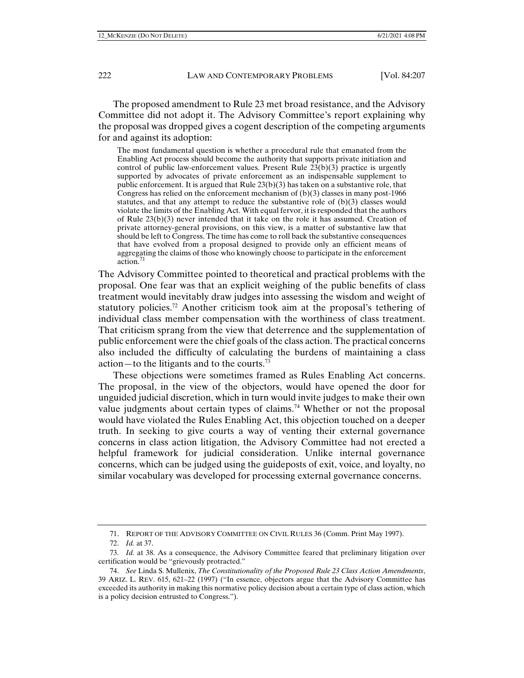The proposed amendment to Rule 23 met broad resistance, and the Advisory Committee did not adopt it. The Advisory Committee's report explaining why the proposal was dropped gives a cogent description of the competing arguments for and against its adoption:

The most fundamental question is whether a procedural rule that emanated from the Enabling Act process should become the authority that supports private initiation and control of public law-enforcement values. Present Rule  $23(b)(3)$  practice is urgently supported by advocates of private enforcement as an indispensable supplement to public enforcement. It is argued that Rule 23(b)(3) has taken on a substantive role, that Congress has relied on the enforcement mechanism of  $(b)(3)$  classes in many post-1966 statutes, and that any attempt to reduce the substantive role of  $(b)(3)$  classes would violate the limits of the Enabling Act. With equal fervor, it is responded that the authors of Rule 23(b)(3) never intended that it take on the role it has assumed. Creation of private attorney-general provisions, on this view, is a matter of substantive law that should be left to Congress. The time has come to roll back the substantive consequences that have evolved from a proposal designed to provide only an efficient means of aggregating the claims of those who knowingly choose to participate in the enforcement action.<sup>7</sup>

The Advisory Committee pointed to theoretical and practical problems with the proposal. One fear was that an explicit weighing of the public benefits of class treatment would inevitably draw judges into assessing the wisdom and weight of statutory policies.72 Another criticism took aim at the proposal's tethering of individual class member compensation with the worthiness of class treatment. That criticism sprang from the view that deterrence and the supplementation of public enforcement were the chief goals of the class action. The practical concerns also included the difficulty of calculating the burdens of maintaining a class action—to the litigants and to the courts.<sup>73</sup>

These objections were sometimes framed as Rules Enabling Act concerns. The proposal, in the view of the objectors, would have opened the door for unguided judicial discretion, which in turn would invite judges to make their own value judgments about certain types of claims.<sup>74</sup> Whether or not the proposal would have violated the Rules Enabling Act, this objection touched on a deeper truth. In seeking to give courts a way of venting their external governance concerns in class action litigation, the Advisory Committee had not erected a helpful framework for judicial consideration. Unlike internal governance concerns, which can be judged using the guideposts of exit, voice, and loyalty, no similar vocabulary was developed for processing external governance concerns.

 <sup>71.</sup> REPORT OF THE ADVISORY COMMITTEE ON CIVIL RULES 36 (Comm. Print May 1997).

 <sup>72.</sup> *Id.* at 37.

 <sup>73.</sup> *Id.* at 38. As a consequence, the Advisory Committee feared that preliminary litigation over certification would be "grievously protracted."

 <sup>74.</sup> *See* Linda S. Mullenix, *The Constitutionality of the Proposed Rule 23 Class Action Amendments*, 39 ARIZ. L. REV. 615, 621–22 (1997) ("In essence, objectors argue that the Advisory Committee has exceeded its authority in making this normative policy decision about a certain type of class action, which is a policy decision entrusted to Congress.").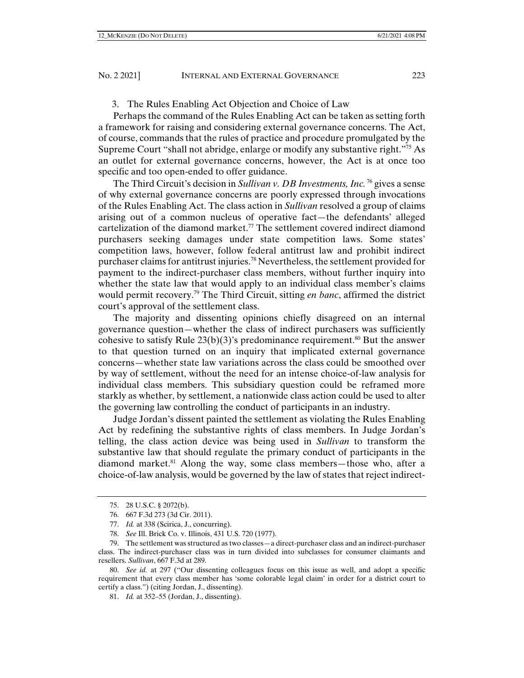## 3. The Rules Enabling Act Objection and Choice of Law

Perhaps the command of the Rules Enabling Act can be taken as setting forth a framework for raising and considering external governance concerns. The Act, of course, commands that the rules of practice and procedure promulgated by the Supreme Court "shall not abridge, enlarge or modify any substantive right."<sup>75</sup> As an outlet for external governance concerns, however, the Act is at once too specific and too open-ended to offer guidance.

The Third Circuit's decision in *Sullivan v. DB Investments, Inc.* 76 gives a sense of why external governance concerns are poorly expressed through invocations of the Rules Enabling Act. The class action in *Sullivan* resolved a group of claims arising out of a common nucleus of operative fact—the defendants' alleged cartelization of the diamond market.<sup>77</sup> The settlement covered indirect diamond purchasers seeking damages under state competition laws. Some states' competition laws, however, follow federal antitrust law and prohibit indirect purchaser claims for antitrust injuries.78 Nevertheless, the settlement provided for payment to the indirect-purchaser class members, without further inquiry into whether the state law that would apply to an individual class member's claims would permit recovery.79 The Third Circuit, sitting *en banc*, affirmed the district court's approval of the settlement class.

The majority and dissenting opinions chiefly disagreed on an internal governance question—whether the class of indirect purchasers was sufficiently cohesive to satisfy Rule  $23(b)(3)$ 's predominance requirement.<sup>80</sup> But the answer to that question turned on an inquiry that implicated external governance concerns—whether state law variations across the class could be smoothed over by way of settlement, without the need for an intense choice-of-law analysis for individual class members. This subsidiary question could be reframed more starkly as whether, by settlement, a nationwide class action could be used to alter the governing law controlling the conduct of participants in an industry.

Judge Jordan's dissent painted the settlement as violating the Rules Enabling Act by redefining the substantive rights of class members. In Judge Jordan's telling, the class action device was being used in *Sullivan* to transform the substantive law that should regulate the primary conduct of participants in the diamond market.<sup>81</sup> Along the way, some class members—those who, after a choice-of-law analysis, would be governed by the law of states that reject indirect-

 <sup>75. 28</sup> U.S.C. § 2072(b).

 <sup>76. 667</sup> F.3d 273 (3d Cir. 2011).

 <sup>77.</sup> *Id.* at 338 (Scirica, J., concurring).

 <sup>78.</sup> *See* Ill. Brick Co. v. Illinois, 431 U.S. 720 (1977).

 <sup>79.</sup> The settlement was structured as two classes—a direct-purchaser class and an indirect-purchaser class. The indirect-purchaser class was in turn divided into subclasses for consumer claimants and resellers. *Sullivan*, 667 F.3d at 289.

 <sup>80.</sup> *See id.* at 297 ("Our dissenting colleagues focus on this issue as well, and adopt a specific requirement that every class member has 'some colorable legal claim' in order for a district court to certify a class.") (citing Jordan, J., dissenting).

 <sup>81.</sup> *Id.* at 352–55 (Jordan, J., dissenting).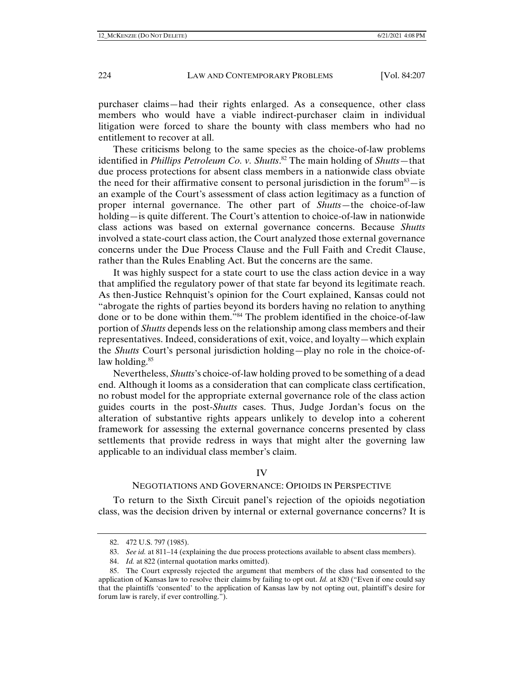purchaser claims—had their rights enlarged. As a consequence, other class members who would have a viable indirect-purchaser claim in individual litigation were forced to share the bounty with class members who had no entitlement to recover at all.

These criticisms belong to the same species as the choice-of-law problems identified in *Phillips Petroleum Co. v. Shutts*. 82 The main holding of *Shutts*—that due process protections for absent class members in a nationwide class obviate the need for their affirmative consent to personal jurisdiction in the forum<sup>83</sup> $-$  is an example of the Court's assessment of class action legitimacy as a function of proper internal governance. The other part of *Shutts*—the choice-of-law holding—is quite different. The Court's attention to choice-of-law in nationwide class actions was based on external governance concerns. Because *Shutts* involved a state-court class action, the Court analyzed those external governance concerns under the Due Process Clause and the Full Faith and Credit Clause, rather than the Rules Enabling Act. But the concerns are the same.

It was highly suspect for a state court to use the class action device in a way that amplified the regulatory power of that state far beyond its legitimate reach. As then-Justice Rehnquist's opinion for the Court explained, Kansas could not "abrogate the rights of parties beyond its borders having no relation to anything done or to be done within them."84 The problem identified in the choice-of-law portion of *Shutts* depends less on the relationship among class members and their representatives. Indeed, considerations of exit, voice, and loyalty—which explain the *Shutts* Court's personal jurisdiction holding—play no role in the choice-oflaw holding.<sup>85</sup>

Nevertheless, *Shutts*'s choice-of-law holding proved to be something of a dead end. Although it looms as a consideration that can complicate class certification, no robust model for the appropriate external governance role of the class action guides courts in the post-*Shutts* cases. Thus, Judge Jordan's focus on the alteration of substantive rights appears unlikely to develop into a coherent framework for assessing the external governance concerns presented by class settlements that provide redress in ways that might alter the governing law applicable to an individual class member's claim.

#### IV

#### NEGOTIATIONS AND GOVERNANCE: OPIOIDS IN PERSPECTIVE

To return to the Sixth Circuit panel's rejection of the opioids negotiation class, was the decision driven by internal or external governance concerns? It is

 <sup>82. 472</sup> U.S. 797 (1985).

 <sup>83.</sup> *See id.* at 811–14 (explaining the due process protections available to absent class members).

 <sup>84.</sup> *Id.* at 822 (internal quotation marks omitted).

 <sup>85.</sup> The Court expressly rejected the argument that members of the class had consented to the application of Kansas law to resolve their claims by failing to opt out. *Id.* at 820 ("Even if one could say that the plaintiffs 'consented' to the application of Kansas law by not opting out, plaintiff's desire for forum law is rarely, if ever controlling.<sup>"</sup>).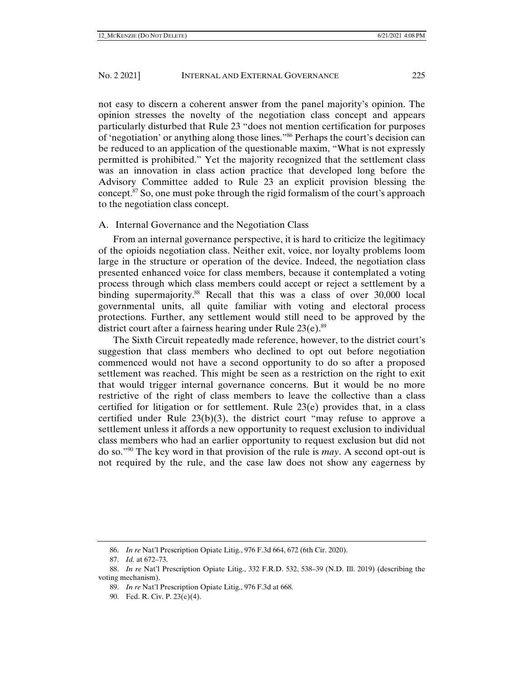not easy to discern a coherent answer from the panel majority's opinion. The opinion stresses the novelty of the negotiation class concept and appears particularly disturbed that Rule 23 "does not mention certification for purposes of 'negotiation' or anything along those lines."86 Perhaps the court's decision can be reduced to an application of the questionable maxim, "What is not expressly permitted is prohibited." Yet the majority recognized that the settlement class was an innovation in class action practice that developed long before the Advisory Committee added to Rule 23 an explicit provision blessing the concept.<sup>87</sup> So, one must poke through the rigid formalism of the court's approach to the negotiation class concept.

#### A. Internal Governance and the Negotiation Class

From an internal governance perspective, it is hard to criticize the legitimacy of the opioids negotiation class. Neither exit, voice, nor loyalty problems loom large in the structure or operation of the device. Indeed, the negotiation class presented enhanced voice for class members, because it contemplated a voting process through which class members could accept or reject a settlement by a binding supermajority.<sup>88</sup> Recall that this was a class of over 30,000 local governmental units, all quite familiar with voting and electoral process protections. Further, any settlement would still need to be approved by the district court after a fairness hearing under Rule 23(e).<sup>89</sup>

The Sixth Circuit repeatedly made reference, however, to the district court's suggestion that class members who declined to opt out before negotiation commenced would not have a second opportunity to do so after a proposed settlement was reached. This might be seen as a restriction on the right to exit that would trigger internal governance concerns. But it would be no more restrictive of the right of class members to leave the collective than a class certified for litigation or for settlement. Rule  $23(e)$  provides that, in a class certified under Rule  $23(b)(3)$ , the district court "may refuse to approve a settlement unless it affords a new opportunity to request exclusion to individual class members who had an earlier opportunity to request exclusion but did not do so."90 The key word in that provision of the rule is *may*. A second opt-out is not required by the rule, and the case law does not show any eagerness by

 <sup>86.</sup> *In re* Nat'l Prescription Opiate Litig., 976 F.3d 664, 672 (6th Cir. 2020).

 <sup>87.</sup> *Id.* at 672–73.

 <sup>88.</sup> *In re* Nat'l Prescription Opiate Litig., 332 F.R.D. 532, 538–39 (N.D. Ill. 2019) (describing the voting mechanism).

 <sup>89.</sup> *In re* Nat'l Prescription Opiate Litig., 976 F.3d at 668.

 <sup>90.</sup> Fed. R. Civ. P. 23(e)(4).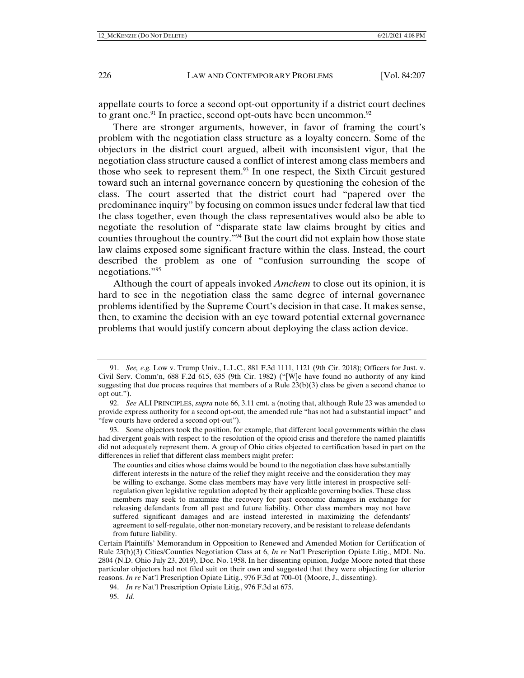appellate courts to force a second opt-out opportunity if a district court declines to grant one.<sup>91</sup> In practice, second opt-outs have been uncommon.<sup>92</sup>

There are stronger arguments, however, in favor of framing the court's problem with the negotiation class structure as a loyalty concern. Some of the objectors in the district court argued, albeit with inconsistent vigor, that the negotiation class structure caused a conflict of interest among class members and those who seek to represent them.93 In one respect, the Sixth Circuit gestured toward such an internal governance concern by questioning the cohesion of the class. The court asserted that the district court had "papered over the predominance inquiry" by focusing on common issues under federal law that tied the class together, even though the class representatives would also be able to negotiate the resolution of "disparate state law claims brought by cities and counties throughout the country."94 But the court did not explain how those state law claims exposed some significant fracture within the class. Instead, the court described the problem as one of "confusion surrounding the scope of negotiations."95

Although the court of appeals invoked *Amchem* to close out its opinion, it is hard to see in the negotiation class the same degree of internal governance problems identified by the Supreme Court's decision in that case. It makes sense, then, to examine the decision with an eye toward potential external governance problems that would justify concern about deploying the class action device.

 <sup>91.</sup> *See, e.g.* Low v. Trump Univ., L.L.C., 881 F.3d 1111, 1121 (9th Cir. 2018); Officers for Just. v. Civil Serv. Comm'n, 688 F.2d 615, 635 (9th Cir. 1982) ("[W]e have found no authority of any kind suggesting that due process requires that members of a Rule  $23(b)(3)$  class be given a second chance to opt out.").

 <sup>92.</sup> *See* ALI PRINCIPLES, *supra* note 66, 3.11 cmt. a (noting that, although Rule 23 was amended to provide express authority for a second opt-out, the amended rule "has not had a substantial impact" and "few courts have ordered a second opt-out").

 <sup>93.</sup> Some objectors took the position, for example, that different local governments within the class had divergent goals with respect to the resolution of the opioid crisis and therefore the named plaintiffs did not adequately represent them. A group of Ohio cities objected to certification based in part on the differences in relief that different class members might prefer:

The counties and cities whose claims would be bound to the negotiation class have substantially different interests in the nature of the relief they might receive and the consideration they may be willing to exchange. Some class members may have very little interest in prospective selfregulation given legislative regulation adopted by their applicable governing bodies. These class members may seek to maximize the recovery for past economic damages in exchange for releasing defendants from all past and future liability. Other class members may not have suffered significant damages and are instead interested in maximizing the defendants' agreement to self-regulate, other non-monetary recovery, and be resistant to release defendants from future liability.

Certain Plaintiffs' Memorandum in Opposition to Renewed and Amended Motion for Certification of Rule 23(b)(3) Cities/Counties Negotiation Class at 6, *In re* Nat'l Prescription Opiate Litig., MDL No. 2804 (N.D. Ohio July 23, 2019), Doc. No. 1958. In her dissenting opinion, Judge Moore noted that these particular objectors had not filed suit on their own and suggested that they were objecting for ulterior reasons. *In re* Nat'l Prescription Opiate Litig., 976 F.3d at 700–01 (Moore, J., dissenting).

 <sup>94.</sup> *In re* Nat'l Prescription Opiate Litig., 976 F.3d at 675.

 <sup>95.</sup> *Id.*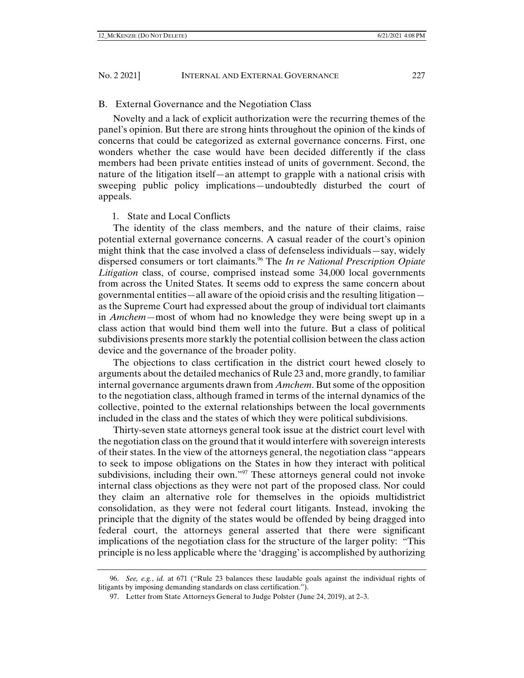#### B. External Governance and the Negotiation Class

Novelty and a lack of explicit authorization were the recurring themes of the panel's opinion. But there are strong hints throughout the opinion of the kinds of concerns that could be categorized as external governance concerns. First, one wonders whether the case would have been decided differently if the class members had been private entities instead of units of government. Second, the nature of the litigation itself—an attempt to grapple with a national crisis with sweeping public policy implications—undoubtedly disturbed the court of appeals.

#### 1. State and Local Conflicts

The identity of the class members, and the nature of their claims, raise potential external governance concerns. A casual reader of the court's opinion might think that the case involved a class of defenseless individuals—say, widely dispersed consumers or tort claimants.96 The *In re National Prescription Opiate Litigation* class, of course, comprised instead some 34,000 local governments from across the United States. It seems odd to express the same concern about governmental entities—all aware of the opioid crisis and the resulting litigation as the Supreme Court had expressed about the group of individual tort claimants in *Amchem*—most of whom had no knowledge they were being swept up in a class action that would bind them well into the future. But a class of political subdivisions presents more starkly the potential collision between the class action device and the governance of the broader polity.

The objections to class certification in the district court hewed closely to arguments about the detailed mechanics of Rule 23 and, more grandly, to familiar internal governance arguments drawn from *Amchem*. But some of the opposition to the negotiation class, although framed in terms of the internal dynamics of the collective, pointed to the external relationships between the local governments included in the class and the states of which they were political subdivisions.

Thirty-seven state attorneys general took issue at the district court level with the negotiation class on the ground that it would interfere with sovereign interests of their states. In the view of the attorneys general, the negotiation class "appears to seek to impose obligations on the States in how they interact with political subdivisions, including their own."<sup>97</sup> These attorneys general could not invoke internal class objections as they were not part of the proposed class. Nor could they claim an alternative role for themselves in the opioids multidistrict consolidation, as they were not federal court litigants. Instead, invoking the principle that the dignity of the states would be offended by being dragged into federal court, the attorneys general asserted that there were significant implications of the negotiation class for the structure of the larger polity: "This principle is no less applicable where the 'dragging' is accomplished by authorizing

 <sup>96.</sup> *See, e.g.*, *id.* at 671 ("Rule 23 balances these laudable goals against the individual rights of litigants by imposing demanding standards on class certification.").

 <sup>97.</sup> Letter from State Attorneys General to Judge Polster (June 24, 2019), at 2–3.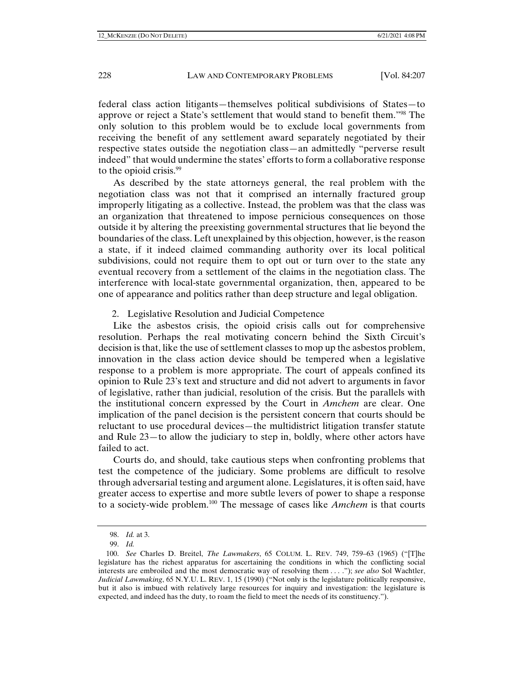federal class action litigants—themselves political subdivisions of States—to approve or reject a State's settlement that would stand to benefit them."98 The only solution to this problem would be to exclude local governments from receiving the benefit of any settlement award separately negotiated by their respective states outside the negotiation class—an admittedly "perverse result indeed" that would undermine the states' efforts to form a collaborative response to the opioid crisis.<sup>99</sup>

As described by the state attorneys general, the real problem with the negotiation class was not that it comprised an internally fractured group improperly litigating as a collective. Instead, the problem was that the class was an organization that threatened to impose pernicious consequences on those outside it by altering the preexisting governmental structures that lie beyond the boundaries of the class. Left unexplained by this objection, however, is the reason a state, if it indeed claimed commanding authority over its local political subdivisions, could not require them to opt out or turn over to the state any eventual recovery from a settlement of the claims in the negotiation class. The interference with local-state governmental organization, then, appeared to be one of appearance and politics rather than deep structure and legal obligation.

#### 2. Legislative Resolution and Judicial Competence

Like the asbestos crisis, the opioid crisis calls out for comprehensive resolution. Perhaps the real motivating concern behind the Sixth Circuit's decision is that, like the use of settlement classes to mop up the asbestos problem, innovation in the class action device should be tempered when a legislative response to a problem is more appropriate. The court of appeals confined its opinion to Rule 23's text and structure and did not advert to arguments in favor of legislative, rather than judicial, resolution of the crisis. But the parallels with the institutional concern expressed by the Court in *Amchem* are clear. One implication of the panel decision is the persistent concern that courts should be reluctant to use procedural devices—the multidistrict litigation transfer statute and Rule 23—to allow the judiciary to step in, boldly, where other actors have failed to act.

Courts do, and should, take cautious steps when confronting problems that test the competence of the judiciary. Some problems are difficult to resolve through adversarial testing and argument alone. Legislatures, it is often said, have greater access to expertise and more subtle levers of power to shape a response to a society-wide problem.100 The message of cases like *Amchem* is that courts

 <sup>98.</sup> *Id.* at 3.

 <sup>99.</sup> *Id.*

 <sup>100.</sup> *See* Charles D. Breitel, *The Lawmakers*, 65 COLUM. L. REV. 749, 759–63 (1965) ("[T]he legislature has the richest apparatus for ascertaining the conditions in which the conflicting social interests are embroiled and the most democratic way of resolving them . . . ."); *see also* Sol Wachtler, *Judicial Lawmaking*, 65 N.Y.U. L. REV. 1, 15 (1990) ("Not only is the legislature politically responsive, but it also is imbued with relatively large resources for inquiry and investigation: the legislature is expected, and indeed has the duty, to roam the field to meet the needs of its constituency.").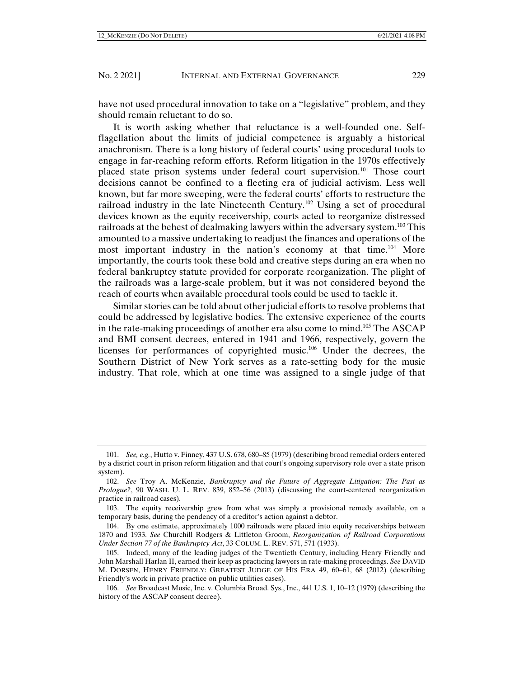have not used procedural innovation to take on a "legislative" problem, and they should remain reluctant to do so.

It is worth asking whether that reluctance is a well-founded one. Selfflagellation about the limits of judicial competence is arguably a historical anachronism. There is a long history of federal courts' using procedural tools to engage in far-reaching reform efforts. Reform litigation in the 1970s effectively placed state prison systems under federal court supervision.<sup>101</sup> Those court decisions cannot be confined to a fleeting era of judicial activism. Less well known, but far more sweeping, were the federal courts' efforts to restructure the railroad industry in the late Nineteenth Century.<sup>102</sup> Using a set of procedural devices known as the equity receivership, courts acted to reorganize distressed railroads at the behest of dealmaking lawyers within the adversary system.<sup>103</sup> This amounted to a massive undertaking to readjust the finances and operations of the most important industry in the nation's economy at that time.<sup>104</sup> More importantly, the courts took these bold and creative steps during an era when no federal bankruptcy statute provided for corporate reorganization. The plight of the railroads was a large-scale problem, but it was not considered beyond the reach of courts when available procedural tools could be used to tackle it.

Similar stories can be told about other judicial efforts to resolve problems that could be addressed by legislative bodies. The extensive experience of the courts in the rate-making proceedings of another era also come to mind.105 The ASCAP and BMI consent decrees, entered in 1941 and 1966, respectively, govern the licenses for performances of copyrighted music.106 Under the decrees, the Southern District of New York serves as a rate-setting body for the music industry. That role, which at one time was assigned to a single judge of that

 <sup>101.</sup> *See, e.g.*, Hutto v. Finney, 437 U.S. 678, 680–85 (1979) (describing broad remedial orders entered by a district court in prison reform litigation and that court's ongoing supervisory role over a state prison system).

 <sup>102.</sup> *See* Troy A. McKenzie, *Bankruptcy and the Future of Aggregate Litigation: The Past as Prologue?*, 90 WASH. U. L. REV. 839, 852–56 (2013) (discussing the court-centered reorganization practice in railroad cases).

 <sup>103.</sup> The equity receivership grew from what was simply a provisional remedy available, on a temporary basis, during the pendency of a creditor's action against a debtor.

 <sup>104.</sup> By one estimate, approximately 1000 railroads were placed into equity receiverships between 1870 and 1933. *See* Churchill Rodgers & Littleton Groom, *Reorganization of Railroad Corporations Under Section 77 of the Bankruptcy Act*, 33 COLUM. L. REV. 571, 571 (1933).

 <sup>105.</sup> Indeed, many of the leading judges of the Twentieth Century, including Henry Friendly and John Marshall Harlan II, earned their keep as practicing lawyers in rate-making proceedings. *See* DAVID M. DORSEN, HENRY FRIENDLY: GREATEST JUDGE OF HIS ERA 49, 60–61, 68 (2012) (describing Friendly's work in private practice on public utilities cases).

 <sup>106.</sup> *See* Broadcast Music, Inc. v. Columbia Broad. Sys., Inc., 441 U.S. 1, 10–12 (1979) (describing the history of the ASCAP consent decree).